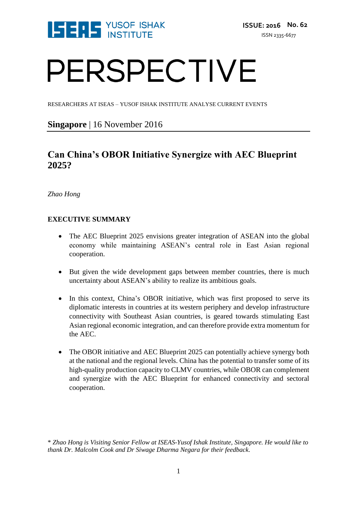

# PERSPECTIVE

RESEARCHERS AT ISEAS – YUSOF ISHAK INSTITUTE ANALYSE CURRENT EVENTS

### **Singapore** | 16 November 2016

## **Can China's OBOR Initiative Synergize with AEC Blueprint 2025?**

*Zhao Hong*

#### **EXECUTIVE SUMMARY**

- The AEC Blueprint 2025 envisions greater integration of ASEAN into the global economy while maintaining ASEAN's central role in East Asian regional cooperation.
- But given the wide development gaps between member countries, there is much uncertainty about ASEAN's ability to realize its ambitious goals.
- In this context, China's OBOR initiative, which was first proposed to serve its diplomatic interests in countries at its western periphery and develop infrastructure connectivity with Southeast Asian countries, is geared towards stimulating East Asian regional economic integration, and can therefore provide extra momentum for the AEC.
- The OBOR initiative and AEC Blueprint 2025 can potentially achieve synergy both at the national and the regional levels. China has the potential to transfer some of its high-quality production capacity to CLMV countries, while OBOR can complement and synergize with the AEC Blueprint for enhanced connectivity and sectoral cooperation.

\* *Zhao Hong is Visiting Senior Fellow at ISEAS-Yusof Ishak Institute, Singapore. He would like to thank Dr. Malcolm Cook and Dr Siwage Dharma Negara for their feedback.*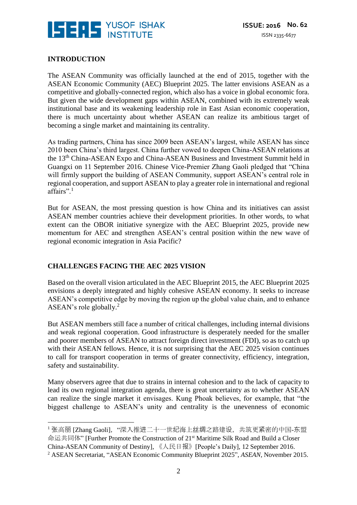

#### **INTRODUCTION**

<u>.</u>

The ASEAN Community was officially launched at the end of 2015, together with the ASEAN Economic Community (AEC) Blueprint 2025. The latter envisions ASEAN as a competitive and globally-connected region, which also has a voice in global economic fora. But given the wide development gaps within ASEAN, combined with its extremely weak institutional base and its weakening leadership role in East Asian economic cooperation, there is much uncertainty about whether ASEAN can realize its ambitious target of becoming a single market and maintaining its centrality.

As trading partners, China has since 2009 been ASEAN's largest, while ASEAN has since 2010 been China's third largest. China further vowed to deepen China-ASEAN relations at the 13th China-ASEAN Expo and China-ASEAN Business and Investment Summit held in Guangxi on 11 September 2016. Chinese Vice-Premier Zhang Gaoli pledged that "China will firmly support the building of ASEAN Community, support ASEAN's central role in regional cooperation, and support ASEAN to play a greater role in international and regional affairs".<sup>1</sup>

But for ASEAN, the most pressing question is how China and its initiatives can assist ASEAN member countries achieve their development priorities. In other words, to what extent can the OBOR initiative synergize with the AEC Blueprint 2025, provide new momentum for AEC and strengthen ASEAN's central position within the new wave of regional economic integration in Asia Pacific?

#### **CHALLENGES FACING THE AEC 2025 VISION**

Based on the overall vision articulated in the AEC Blueprint 2015, the AEC Blueprint 2025 envisions a deeply integrated and highly cohesive ASEAN economy. It seeks to increase ASEAN's competitive edge by moving the region up the global value chain, and to enhance ASEAN's role globally.<sup>2</sup>

But ASEAN members still face a number of critical challenges, including internal divisions and weak regional cooperation. Good infrastructure is desperately needed for the smaller and poorer members of ASEAN to attract foreign direct investment (FDI), so as to catch up with their ASEAN fellows. Hence, it is not surprising that the AEC 2025 vision continues to call for transport cooperation in terms of greater connectivity, efficiency, integration, safety and sustainability.

Many observers agree that due to strains in internal cohesion and to the lack of capacity to lead its own regional integration agenda, there is great uncertainty as to whether ASEAN can realize the single market it envisages. Kung Phoak believes, for example, that "the biggest challenge to ASEAN's unity and centrality is the unevenness of economic

<sup>&</sup>lt;sup>1</sup> 张高丽 [Zhang Gaoli], "深入推进二十一世纪海上丝绸之路建设, 共筑更紧密的中国-东盟 命运共同体" [Further Promote the Construction of 21<sup>st</sup> Maritime Silk Road and Build a Closer China-ASEAN Community of Destiny], 《人民日报》[People's Daily], 12 September 2016. <sup>2</sup> ASEAN Secretariat, "ASEAN Economic Community Blueprint 2025", *ASEAN*, November 2015.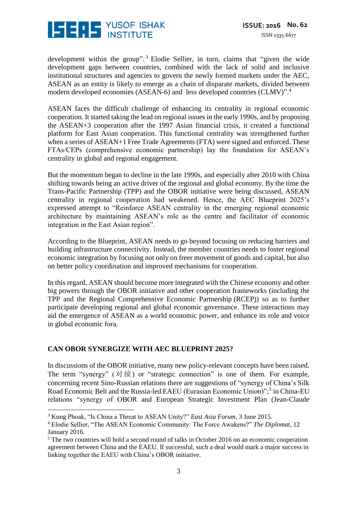

development within the group".<sup>3</sup> Elodie Sellier, in turn, claims that "given the wide development gaps between countries, combined with the lack of solid and inclusive institutional structures and agencies to govern the newly formed markets under the AEC, ASEAN as an entity is likely to emerge as a chain of disparate markets, divided between modern developed economies (ASEAN-6) and less developed countries (CLMV)".<sup>4</sup>

ASEAN faces the difficult challenge of enhancing its centrality in regional economic cooperation. It started taking the lead on regional issues in the early 1990s, and by proposing the ASEAN+3 cooperation after the 1997 Asian financial crisis, it created a functional platform for East Asian cooperation. This functional centrality was strengthened further when a series of ASEAN+1 Free Trade Agreements (FTA) were signed and enforced. These FTAs/CEPs (comprehensive economic partnership) lay the foundation for ASEAN's centrality in global and regional engagement.

But the momentum began to decline in the late 1990s, and especially after 2010 with China shifting towards being an active driver of the regional and global economy. By the time the Trans-Pacific Partnership (TPP) and the OBOR initiative were being discussed, ASEAN centrality in regional cooperation had weakened. Hence, the AEC Blueprint 2025's expressed attempt to "Reinforce ASEAN centrality in the emerging regional economic architecture by maintaining ASEAN's role as the centre and facilitator of economic integration in the East Asian region".

According to the Blueprint, ASEAN needs to go beyond focusing on reducing barriers and building infrastructure connectivity. Instead, the member countries needs to foster regional economic integration by focusing not only on freer movement of goods and capital, but also on better policy coordination and improved mechanisms for cooperation.

In this regard, ASEAN should become more integrated with the Chinese economy and other big powers through the OBOR initiative and other cooperation frameworks (including the TPP and the Regional Comprehensive Economic Partnership (RCEP)) so as to further participate developing regional and global economic governance. These interactions may aid the emergence of ASEAN as a world economic power, and enhance its role and voice in global economic fora.

#### **CAN OBOR SYNERGIZE WITH AEC BLUEPRINT 2025?**

<u>.</u>

In discussions of the OBOR initiative, many new policy-relevant concepts have been raised. The term "synergy"  $(\text{对\r$   $\#$ ) or "strategic connection" is one of them. For example, concerning recent Sino-Russian relations there are suggestions of "synergy of China's Silk Road Economic Belt and the Russia-led EAEU (Eurasian Economic Union)",<sup>5</sup> in China-EU relations "synergy of OBOR and European Strategic Investment Plan (Jean-Claude

<sup>3</sup> Kung Phoak, "Is China a Threat to ASEAN Unity?" *East Asia Forum*, 3 June 2015.

<sup>4</sup> Elodie Sellier, "The ASEAN Economic Community: The Force Awakens?" *The Diplomat*, 12 January 2016.

<sup>&</sup>lt;sup>5</sup> The two countries will hold a second round of talks in October 2016 on an economic cooperation agreement between China and the EAEU. If successful, such a deal would mark a major success in linking together the EAEU with China's OBOR initiative.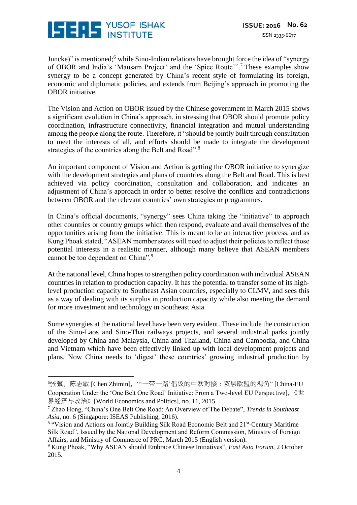

1

Juncke)" is mentioned;<sup>6</sup> while Sino-Indian relations have brought force the idea of "synergy of OBOR and India's 'Mausam Project' and the 'Spice Route'".<sup>7</sup> These examples show synergy to be a concept generated by China's recent style of formulating its foreign, economic and diplomatic policies, and extends from Beijing's approach in promoting the OBOR initiative.

The Vision and Action on OBOR issued by the Chinese government in March 2015 shows a significant evolution in China's approach, in stressing that OBOR should promote policy coordination, infrastructure connectivity, financial integration and mutual understanding among the people along the route. Therefore, it "should be jointly built through consultation to meet the interests of all, and efforts should be made to integrate the development strategies of the countries along the Belt and Road".<sup>8</sup>

An important component of Vision and Action is getting the OBOR initiative to synergize with the development strategies and plans of countries along the Belt and Road. This is best achieved via policy coordination, consultation and collaboration, and indicates an adjustment of China's approach in order to better resolve the conflicts and contradictions between OBOR and the relevant countries' own strategies or programmes.

In China's official documents, "synergy" sees China taking the "initiative" to approach other countries or country groups which then respond, evaluate and avail themselves of the opportunities arising from the initiative. This is meant to be an interactive process, and as Kung Phoak stated, "ASEAN member states will need to adjust their policies to reflect those potential interests in a realistic manner, although many believe that ASEAN members cannot be too dependent on China".<sup>9</sup>

At the national level, China hopes to strengthen policy coordination with individual ASEAN countries in relation to production capacity. It has the potential to transfer some of its highlevel production capacity to Southeast Asian countries, especially to CLMV, and sees this as a way of dealing with its surplus in production capacity while also meeting the demand for more investment and technology in Southeast Asia.

Some synergies at the national level have been very evident. These include the construction of the Sino-Laos and Sino-Thai railways projects, and several industrial parks jointly developed by China and Malaysia, China and Thailand, China and Cambodia, and China and Vietnam which have been effectively linked up with local development projects and plans. Now China needs to 'digest' these countries' growing industrial production by

<sup>&</sup>lt;sup>6</sup>张骥、陈志敏 [Chen Zhimin], "'一带一路'倡议的中欧对接: 双层欧盟的视角" [China-EU Cooperation Under the 'One Belt One Road' Initiative: From a Two-level EU Perspective], 《世 界经济与政治》[World Economics and Politics], no. 11, 2015.

<sup>7</sup> Zhao Hong, "China's One Belt One Road: An Overview of The Debate", *Trends in Southeast Asia*, no. 6 (Singapore: ISEAS Publishing, 2016).

<sup>&</sup>lt;sup>8</sup> "Vision and Actions on Jointly Building Silk Road Economic Belt and 21<sup>st</sup>-Century Maritime Silk Road", Issued by the National Development and Reform Commission, Ministry of Foreign Affairs, and Ministry of Commerce of PRC, March 2015 (English version).

<sup>9</sup> Kung Phoak, "Why ASEAN should Embrace Chinese Initiatives", *East Asia Forum*, 2 October 2015.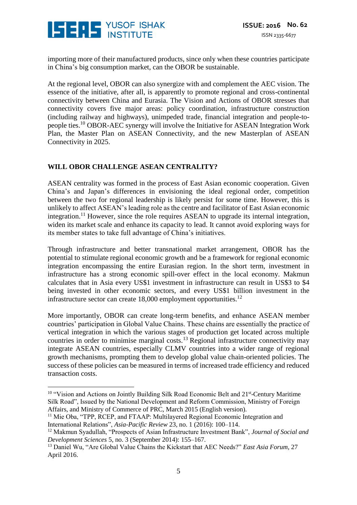

importing more of their manufactured products, since only when these countries participate in China's big consumption market, can the OBOR be sustainable.

At the regional level, OBOR can also synergize with and complement the AEC vision. The essence of the initiative, after all, is apparently to promote regional and cross-continental connectivity between China and Eurasia. The Vision and Actions of OBOR stresses that connectivity covers five major areas: policy coordination, infrastructure construction (including railway and highways), unimpeded trade, financial integration and people-topeople ties.<sup>10</sup> OBOR-AEC synergy will involve the Initiative for ASEAN Integration Work Plan, the Master Plan on ASEAN Connectivity, and the new Masterplan of ASEAN Connectivity in 2025.

#### **WILL OBOR CHALLENGE ASEAN CENTRALITY?**

ASEAN centrality was formed in the process of East Asian economic cooperation. Given China's and Japan's differences in envisioning the ideal regional order, competition between the two for regional leadership is likely persist for some time. However, this is unlikely to affect ASEAN's leading role as the centre and facilitator of East Asian economic integration.<sup>11</sup> However, since the role requires ASEAN to upgrade its internal integration, widen its market scale and enhance its capacity to lead. It cannot avoid exploring ways for its member states to take full advantage of China's initiatives.

Through infrastructure and better transnational market arrangement, OBOR has the potential to stimulate regional economic growth and be a framework for regional economic integration encompassing the entire Eurasian region. In the short term, investment in infrastructure has a strong economic spill-over effect in the local economy. Makmun calculates that in Asia every US\$1 investment in infrastructure can result in US\$3 to \$4 being invested in other economic sectors, and every US\$1 billion investment in the infrastructure sector can create  $18,000$  employment opportunities.<sup>12</sup>

More importantly, OBOR can create long-term benefits, and enhance ASEAN member countries' participation in Global Value Chains. These chains are essentially the practice of vertical integration in which the various stages of production get located across multiple countries in order to minimise marginal costs.<sup>13</sup> Regional infrastructure connectivity may integrate ASEAN countries, especially CLMV countries into a wider range of regional growth mechanisms, prompting them to develop global value chain-oriented policies. The success of these policies can be measured in terms of increased trade efficiency and reduced transaction costs.

<u>.</u>

<sup>&</sup>lt;sup>10</sup> "Vision and Actions on Jointly Building Silk Road Economic Belt and 21<sup>st</sup>-Century Maritime Silk Road", Issued by the National Development and Reform Commission, Ministry of Foreign Affairs, and Ministry of Commerce of PRC, March 2015 (English version).

<sup>&</sup>lt;sup>11</sup> Mie Oba, "TPP, RCEP, and FTAAP: Multilayered Regional Economic Integration and International Relations", *Asia-Pacific Review* 23, no. 1 (2016): 100–114.

<sup>12</sup> Makmun Syadullah, "Prospects of Asian Infrastructure Investment Bank", *Journal of Social and Development Sciences* 5, no. 3 (September 2014): 155–167.

<sup>13</sup> Daniel Wu, "Are Global Value Chains the Kickstart that AEC Needs?" *East Asia Forum*, 27 April 2016.